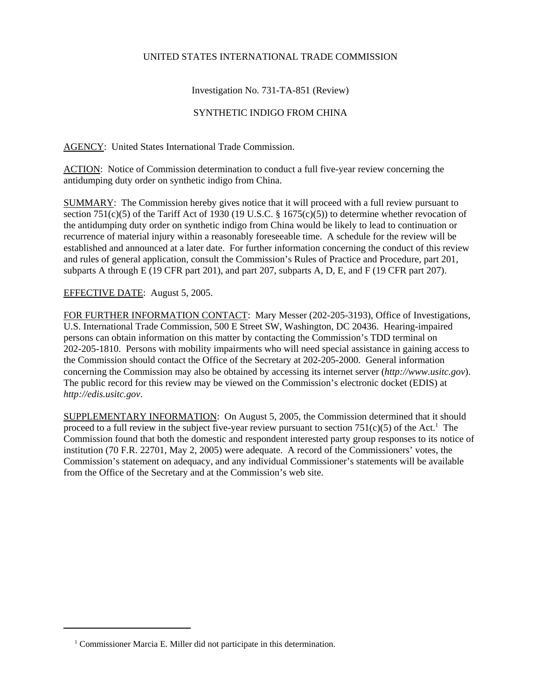## UNITED STATES INTERNATIONAL TRADE COMMISSION

## Investigation No. 731-TA-851 (Review)

## SYNTHETIC INDIGO FROM CHINA

AGENCY: United States International Trade Commission.

ACTION: Notice of Commission determination to conduct a full five-year review concerning the antidumping duty order on synthetic indigo from China.

SUMMARY: The Commission hereby gives notice that it will proceed with a full review pursuant to section 751(c)(5) of the Tariff Act of 1930 (19 U.S.C. § 1675(c)(5)) to determine whether revocation of the antidumping duty order on synthetic indigo from China would be likely to lead to continuation or recurrence of material injury within a reasonably foreseeable time. A schedule for the review will be established and announced at a later date. For further information concerning the conduct of this review and rules of general application, consult the Commission's Rules of Practice and Procedure, part 201, subparts A through E (19 CFR part 201), and part 207, subparts A, D, E, and F (19 CFR part 207).

## EFFECTIVE DATE: August 5, 2005.

FOR FURTHER INFORMATION CONTACT: Mary Messer (202-205-3193), Office of Investigations, U.S. International Trade Commission, 500 E Street SW, Washington, DC 20436. Hearing-impaired persons can obtain information on this matter by contacting the Commission's TDD terminal on 202-205-1810. Persons with mobility impairments who will need special assistance in gaining access to the Commission should contact the Office of the Secretary at 202-205-2000. General information concerning the Commission may also be obtained by accessing its internet server (*http://www.usitc.gov*). The public record for this review may be viewed on the Commission's electronic docket (EDIS) at *http://edis.usitc.gov*.

SUPPLEMENTARY INFORMATION: On August 5, 2005, the Commission determined that it should proceed to a full review in the subject five-year review pursuant to section  $751(c)(5)$  of the Act.<sup>1</sup> The Commission found that both the domestic and respondent interested party group responses to its notice of institution (70 F.R. 22701, May 2, 2005) were adequate. A record of the Commissioners' votes, the Commission's statement on adequacy, and any individual Commissioner's statements will be available from the Office of the Secretary and at the Commission's web site.

<sup>&</sup>lt;sup>1</sup> Commissioner Marcia E. Miller did not participate in this determination.